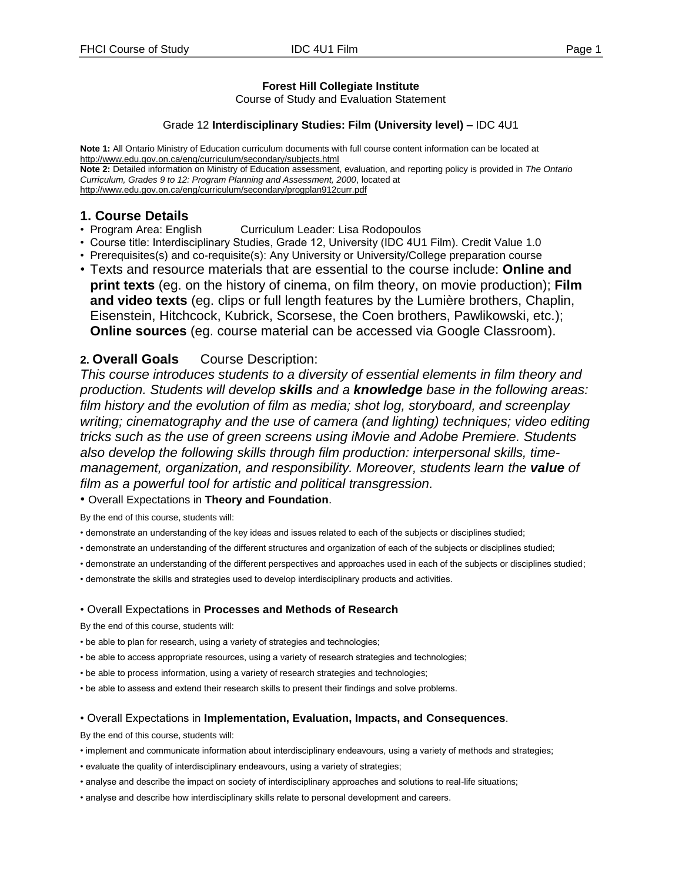## **Forest Hill Collegiate Institute**

Course of Study and Evaluation Statement

#### Grade 12 **Interdisciplinary Studies: Film (University level) –** IDC 4U1

**Note 1:** All Ontario Ministry of Education curriculum documents with full course content information can be located at http://www.edu.gov.on.ca/eng/curriculum/secondary/subjects.html **Note 2:** Detailed information on Ministry of Education assessment, evaluation, and reporting policy is provided in *The Ontario Curriculum, Grades 9 to 12: Program Planning and Assessment, 2000*, located at http://www.edu.gov.on.ca/eng/curriculum/secondary/progplan912curr.pdf

# **1. Course Details**

- Program Area: English Curriculum Leader: Lisa Rodopoulos
- Course title: Interdisciplinary Studies, Grade 12, University (IDC 4U1 Film). Credit Value 1.0
- Prerequisites(s) and co-requisite(s): Any University or University/College preparation course
- Texts and resource materials that are essential to the course include: **Online and print texts** (eg. on the history of cinema, on film theory, on movie production); **Film and video texts** (eg. clips or full length features by the Lumière brothers, Chaplin, Eisenstein, Hitchcock, Kubrick, Scorsese, the Coen brothers, Pawlikowski, etc.); **Online sources** (eg. course material can be accessed via Google Classroom).

## **2. Overall Goals** Course Description:

*This course introduces students to a diversity of essential elements in film theory and production. Students will develop skills and a knowledge base in the following areas: film history and the evolution of film as media; shot log, storyboard, and screenplay writing; cinematography and the use of camera (and lighting) techniques; video editing tricks such as the use of green screens using iMovie and Adobe Premiere. Students also develop the following skills through film production: interpersonal skills, timemanagement, organization, and responsibility. Moreover, students learn the value of film as a powerful tool for artistic and political transgression.*

• Overall Expectations in **Theory and Foundation**.

By the end of this course, students will:

- demonstrate an understanding of the key ideas and issues related to each of the subjects or disciplines studied;
- demonstrate an understanding of the different structures and organization of each of the subjects or disciplines studied;
- demonstrate an understanding of the different perspectives and approaches used in each of the subjects or disciplines studied;
- demonstrate the skills and strategies used to develop interdisciplinary products and activities.

#### • Overall Expectations in **Processes and Methods of Research**

By the end of this course, students will:

- be able to plan for research, using a variety of strategies and technologies;
- be able to access appropriate resources, using a variety of research strategies and technologies;
- be able to process information, using a variety of research strategies and technologies;
- be able to assess and extend their research skills to present their findings and solve problems.

#### • Overall Expectations in **Implementation, Evaluation, Impacts, and Consequences**.

By the end of this course, students will:

- implement and communicate information about interdisciplinary endeavours, using a variety of methods and strategies;
- evaluate the quality of interdisciplinary endeavours, using a variety of strategies;
- analyse and describe the impact on society of interdisciplinary approaches and solutions to real-life situations;
- analyse and describe how interdisciplinary skills relate to personal development and careers.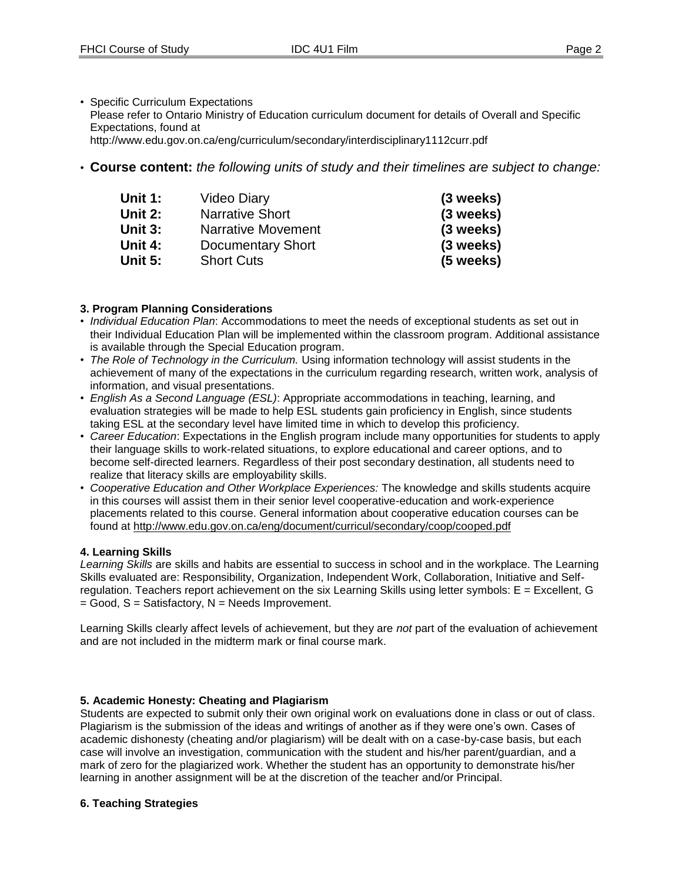• Specific Curriculum Expectations

Please refer to Ontario Ministry of Education curriculum document for details of Overall and Specific Expectations, found at

http://www.edu.gov.on.ca/eng/curriculum/secondary/interdisciplinary1112curr.pdf

• **Course content:** *the following units of study and their timelines are subject to change:*

| Unit 1: | Video Diary            | (3 weeks)   |
|---------|------------------------|-------------|
| Unit 2: | <b>Narrative Short</b> | (3 weeks)   |
| Unit 3: | Narrative Movement     | (3 weeks)   |
| Unit 4: | Documentary Short      | (3 weeks)   |
| Unit 5: | <b>Short Cuts</b>      | $(5$ weeks) |

#### **3. Program Planning Considerations**

- *Individual Education Plan*: Accommodations to meet the needs of exceptional students as set out in their Individual Education Plan will be implemented within the classroom program. Additional assistance is available through the Special Education program.
- *The Role of Technology in the Curriculum.* Using information technology will assist students in the achievement of many of the expectations in the curriculum regarding research, written work, analysis of information, and visual presentations.
- *English As a Second Language (ESL)*: Appropriate accommodations in teaching, learning, and evaluation strategies will be made to help ESL students gain proficiency in English, since students taking ESL at the secondary level have limited time in which to develop this proficiency.
- *Career Education*: Expectations in the English program include many opportunities for students to apply their language skills to work-related situations, to explore educational and career options, and to become self-directed learners. Regardless of their post secondary destination, all students need to realize that literacy skills are employability skills.
- *Cooperative Education and Other Workplace Experiences:* The knowledge and skills students acquire in this courses will assist them in their senior level cooperative-education and work-experience placements related to this course. General information about cooperative education courses can be found at http://www.edu.gov.on.ca/eng/document/curricul/secondary/coop/cooped.pdf

#### **4. Learning Skills**

*Learning Skills* are skills and habits are essential to success in school and in the workplace. The Learning Skills evaluated are: Responsibility, Organization, Independent Work, Collaboration, Initiative and Selfregulation. Teachers report achievement on the six Learning Skills using letter symbols: E = Excellent, G  $=$  Good, S = Satisfactory, N = Needs Improvement.

Learning Skills clearly affect levels of achievement, but they are *not* part of the evaluation of achievement and are not included in the midterm mark or final course mark.

#### **5. Academic Honesty: Cheating and Plagiarism**

Students are expected to submit only their own original work on evaluations done in class or out of class. Plagiarism is the submission of the ideas and writings of another as if they were one's own. Cases of academic dishonesty (cheating and/or plagiarism) will be dealt with on a case-by-case basis, but each case will involve an investigation, communication with the student and his/her parent/guardian, and a mark of zero for the plagiarized work. Whether the student has an opportunity to demonstrate his/her learning in another assignment will be at the discretion of the teacher and/or Principal.

#### **6. Teaching Strategies**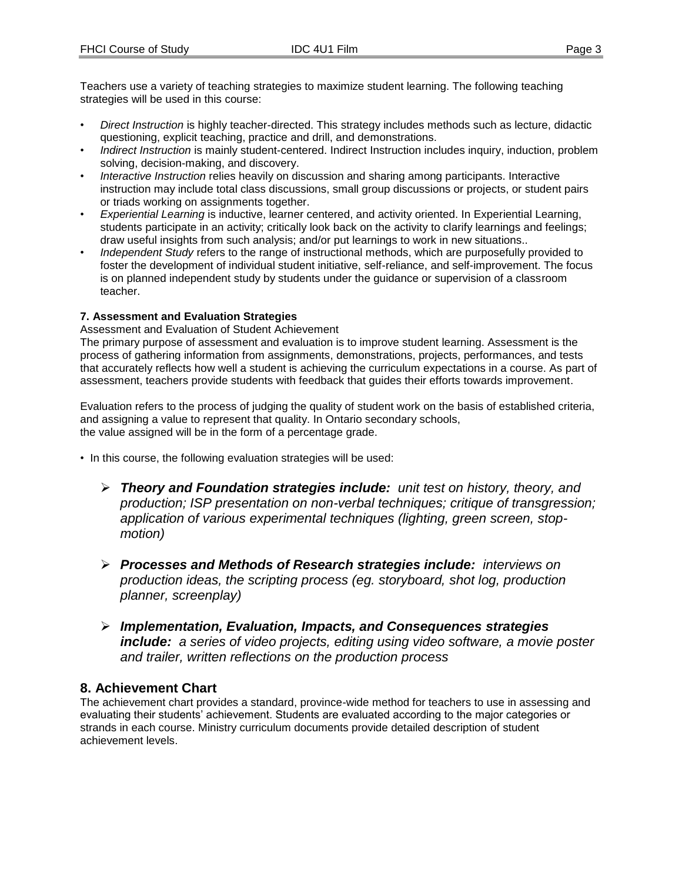Teachers use a variety of teaching strategies to maximize student learning. The following teaching strategies will be used in this course:

- *Direct Instruction* is highly teacher-directed. This strategy includes methods such as lecture, didactic questioning, explicit teaching, practice and drill, and demonstrations.
- *Indirect Instruction* is mainly student-centered. Indirect Instruction includes inquiry, induction, problem solving, decision-making, and discovery.
- *Interactive Instruction* relies heavily on discussion and sharing among participants. Interactive instruction may include total class discussions, small group discussions or projects, or student pairs or triads working on assignments together.
- *Experiential Learning* is inductive, learner centered, and activity oriented. In Experiential Learning, students participate in an activity; critically look back on the activity to clarify learnings and feelings; draw useful insights from such analysis; and/or put learnings to work in new situations..
- *Independent Study* refers to the range of instructional methods, which are purposefully provided to foster the development of individual student initiative, self-reliance, and self-improvement. The focus is on planned independent study by students under the guidance or supervision of a classroom teacher.

## **7. Assessment and Evaluation Strategies**

Assessment and Evaluation of Student Achievement

The primary purpose of assessment and evaluation is to improve student learning. Assessment is the process of gathering information from assignments, demonstrations, projects, performances, and tests that accurately reflects how well a student is achieving the curriculum expectations in a course. As part of assessment, teachers provide students with feedback that guides their efforts towards improvement.

Evaluation refers to the process of judging the quality of student work on the basis of established criteria, and assigning a value to represent that quality. In Ontario secondary schools, the value assigned will be in the form of a percentage grade.

- In this course, the following evaluation strategies will be used:
	- *Theory and Foundation strategies include: unit test on history, theory, and production; ISP presentation on non-verbal techniques; critique of transgression; application of various experimental techniques (lighting, green screen, stopmotion)*
	- *Processes and Methods of Research strategies include: interviews on production ideas, the scripting process (eg. storyboard, shot log, production planner, screenplay)*
	- *Implementation, Evaluation, Impacts, and Consequences strategies include: a series of video projects, editing using video software, a movie poster and trailer, written reflections on the production process*

# **8. Achievement Chart**

The achievement chart provides a standard, province-wide method for teachers to use in assessing and evaluating their students' achievement. Students are evaluated according to the major categories or strands in each course. Ministry curriculum documents provide detailed description of student achievement levels.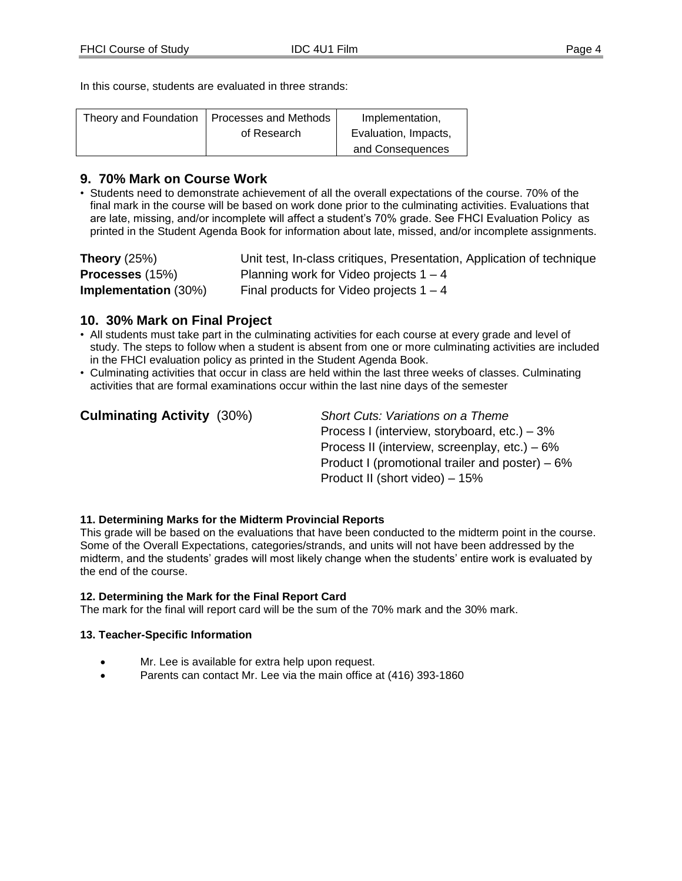In this course, students are evaluated in three strands:

| Theory and Foundation | <b>Processes and Methods</b> | Implementation,      |
|-----------------------|------------------------------|----------------------|
|                       | of Research                  | Evaluation, Impacts, |
|                       |                              | and Consequences     |

## **9. 70% Mark on Course Work**

• Students need to demonstrate achievement of all the overall expectations of the course. 70% of the final mark in the course will be based on work done prior to the culminating activities. Evaluations that are late, missing, and/or incomplete will affect a student's 70% grade. See FHCI Evaluation Policy as printed in the Student Agenda Book for information about late, missed, and/or incomplete assignments.

| Theory $(25%)$              | Unit test, In-class critiques, Presentation, Application of technique |
|-----------------------------|-----------------------------------------------------------------------|
| <b>Processes</b> (15%)      | Planning work for Video projects $1 - 4$                              |
| <b>Implementation</b> (30%) | Final products for Video projects $1 - 4$                             |

# **10. 30% Mark on Final Project**

- All students must take part in the culminating activities for each course at every grade and level of study. The steps to follow when a student is absent from one or more culminating activities are included in the FHCI evaluation policy as printed in the Student Agenda Book.
- Culminating activities that occur in class are held within the last three weeks of classes. Culminating activities that are formal examinations occur within the last nine days of the semester

| <b>Culminating Activity (30%)</b> | Short Cuts: Variations on a Theme                 |
|-----------------------------------|---------------------------------------------------|
|                                   | Process I (interview, storyboard, etc.) $-3\%$    |
|                                   | Process II (interview, screenplay, etc.) $-6\%$   |
|                                   | Product I (promotional trailer and poster) $-6\%$ |
|                                   | Product II (short video) – 15%                    |

#### **11. Determining Marks for the Midterm Provincial Reports**

This grade will be based on the evaluations that have been conducted to the midterm point in the course. Some of the Overall Expectations, categories/strands, and units will not have been addressed by the midterm, and the students' grades will most likely change when the students' entire work is evaluated by the end of the course.

#### **12. Determining the Mark for the Final Report Card**

The mark for the final will report card will be the sum of the 70% mark and the 30% mark.

#### **13. Teacher-Specific Information**

- Mr. Lee is available for extra help upon request.
- Parents can contact Mr. Lee via the main office at (416) 393-1860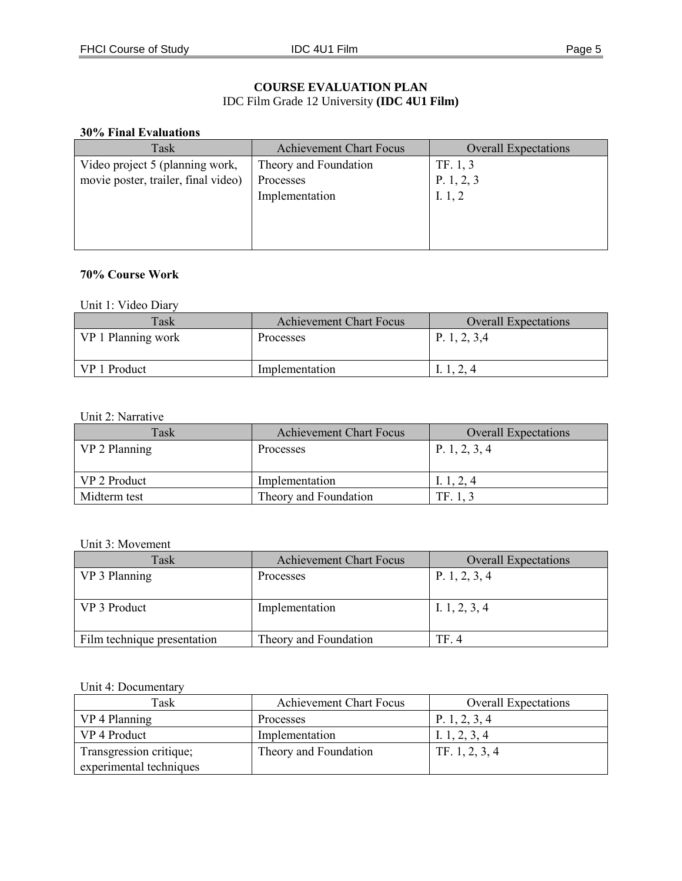## **COURSE EVALUATION PLAN** IDC Film Grade 12 University **(IDC 4U1 Film)**

#### **30% Final Evaluations**

| Task                                | <b>Achievement Chart Focus</b> | <b>Overall Expectations</b> |
|-------------------------------------|--------------------------------|-----------------------------|
| Video project 5 (planning work,     | Theory and Foundation          | TF. 1, 3                    |
| movie poster, trailer, final video) | Processes                      | P. $1, 2, 3$                |
|                                     | Implementation                 | I. $1, 2$                   |
|                                     |                                |                             |
|                                     |                                |                             |
|                                     |                                |                             |

#### **70% Course Work**

## Unit 1: Video Diary

| Task               | <b>Achievement Chart Focus</b> | <b>Overall Expectations</b> |
|--------------------|--------------------------------|-----------------------------|
| VP 1 Planning work | Processes                      | P. 1, 2, 3,4                |
| VP 1 Product       | Implementation                 | l. 1, 2, 4                  |

## Unit 2: Narrative

| Task          | <b>Achievement Chart Focus</b> | <b>Overall Expectations</b> |
|---------------|--------------------------------|-----------------------------|
| VP 2 Planning | Processes                      | P. 1, 2, 3, 4               |
| VP 2 Product  | Implementation                 | I. 1, 2, 4                  |
| Midterm test  | Theory and Foundation          | TF. 1.3                     |

#### Unit 3: Movement

| Task                        | <b>Achievement Chart Focus</b> | <b>Overall Expectations</b> |
|-----------------------------|--------------------------------|-----------------------------|
| VP 3 Planning               | Processes                      | P. 1, 2, 3, 4               |
|                             |                                |                             |
| VP 3 Product                | Implementation                 | I. $1, 2, 3, 4$             |
|                             |                                |                             |
| Film technique presentation | Theory and Foundation          | TF. 4                       |

# Unit 4: Documentary

| Task                    | <b>Achievement Chart Focus</b> | <b>Overall Expectations</b> |
|-------------------------|--------------------------------|-----------------------------|
| VP 4 Planning           | Processes                      | P. 1, 2, 3, 4               |
| VP 4 Product            | Implementation                 | I. 1, 2, 3, 4               |
| Transgression critique; | Theory and Foundation          | TF. 1, 2, 3, 4              |
| experimental techniques |                                |                             |